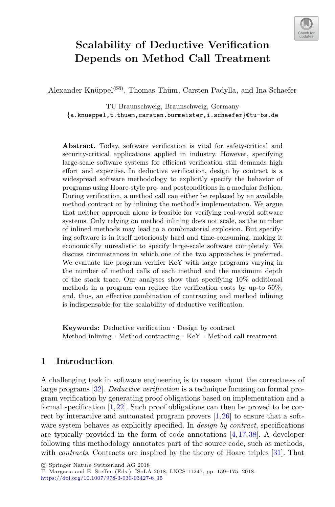

# **Scalability of Deductive Verification Depends on Method Call Treatment**

Alexander Knüppel<sup>( $\boxtimes$ )</sup>, Thomas Thüm, Carsten Padylla, and Ina Schaefer

TU Braunschweig, Braunschweig, Germany *{*a.knueppel,t.thuem,carsten.burmeister,i.schaefer*}*@tu-bs.de

**Abstract.** Today, software verification is vital for safety-critical and security-critical applications applied in industry. However, specifying large-scale software systems for efficient verification still demands high effort and expertise. In deductive verification, design by contract is a widespread software methodology to explicitly specify the behavior of programs using Hoare-style pre- and postconditions in a modular fashion. During verification, a method call can either be replaced by an available method contract or by inlining the method's implementation. We argue that neither approach alone is feasible for verifying real-world software systems. Only relying on method inlining does not scale, as the number of inlined methods may lead to a combinatorial explosion. But specifying software is in itself notoriously hard and time-consuming, making it economically unrealistic to specify large-scale software completely. We discuss circumstances in which one of the two approaches is preferred. We evaluate the program verifier KeY with large programs varying in the number of method calls of each method and the maximum depth of the stack trace. Our analyses show that specifying 10% additional methods in a program can reduce the verification costs by up-to 50%, and, thus, an effective combination of contracting and method inlining is indispensable for the scalability of deductive verification.

**Keywords:** Deductive verification *·* Design by contract Method inlining *·* Method contracting *·* KeY *·* Method call treatment

# **1 Introduction**

A challenging task in software engineering is to reason about the correctness of large programs [\[32](#page-15-0)]. *Deductive verification* is a technique focusing on formal program verification by generating proof obligations based on implementation and a formal specification [\[1](#page-13-0),[22\]](#page-14-0). Such proof obligations can then be proved to be correct by interactive and automated program provers [\[1,](#page-13-0)[26](#page-15-1)] to ensure that a software system behaves as explicitly specified. In *design by contract*, specifications are typically provided in the form of code annotations  $[4,17,38]$  $[4,17,38]$  $[4,17,38]$  $[4,17,38]$ . A developer following this methodology annotates part of the source code, such as methods, with *contracts*. Contracts are inspired by the theory of Hoare triples [\[31\]](#page-15-3). That

-c Springer Nature Switzerland AG 2018

T. Margaria and B. Steffen (Eds.): ISoLA 2018, LNCS 11247, pp. 159–175, 2018. [https://doi.org/10.1007/978-3-030-03427-6](https://doi.org/10.1007/978-3-030-03427-6_15)\_15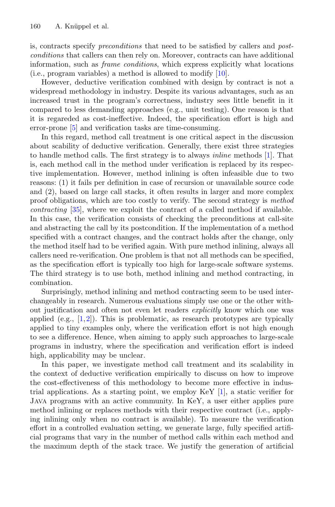is, contracts specify *preconditions* that need to be satisfied by callers and *postconditions* that callers can then rely on. Moreover, contracts can have additional information, such as *frame conditions*, which express explicitly what locations (i.e., program variables) a method is allowed to modify [\[10\]](#page-14-2).

However, deductive verification combined with design by contract is not a widespread methodology in industry. Despite its various advantages, such as an increased trust in the program's correctness, industry sees little benefit in it compared to less demanding approaches (e.g., unit testing). One reason is that it is regareded as cost-ineffective. Indeed, the specification effort is high and error-prone [\[5](#page-14-3)] and verification tasks are time-consuming.

In this regard, method call treatment is one critical aspect in the discussion about scability of deductive verification. Generally, there exist three strategies to handle method calls. The first strategy is to always *inline* methods [\[1\]](#page-13-0). That is, each method call in the method under verification is replaced by its respective implementation. However, method inlining is often infeasible due to two reasons: (1) it fails per definition in case of recursion or unavailable source code and (2), based on large call stacks, it often results in larger and more complex proof obligations, which are too costly to verify. The second strategy is *method contracting* [\[35\]](#page-15-4), where we exploit the contract of a called method if available. In this case, the verification consists of checking the preconditions at call-site and abstracting the call by its postcondition. If the implementation of a method specified with a contract changes, and the contract holds after the change, only the method itself had to be verified again. With pure method inlining, always all callers need re-verification. One problem is that not all methods can be specified, as the specification effort is typically too high for large-scale software systems. The third strategy is to use both, method inlining and method contracting, in combination.

Surprisingly, method inlining and method contracting seem to be used interchangeably in research. Numerous evaluations simply use one or the other without justification and often not even let readers *explicitly* know which one was applied (e.g.,  $[1,2]$  $[1,2]$  $[1,2]$ ). This is problematic, as research prototypes are typically applied to tiny examples only, where the verification effort is not high enough to see a difference. Hence, when aiming to apply such approaches to large-scale programs in industry, where the specification and verification effort is indeed high, applicability may be unclear.

In this paper, we investigate method call treatment and its scalability in the context of deductive verification empirically to discuss on how to improve the cost-effectiveness of this methodology to become more effective in industrial applications. As a starting point, we employ KeY [\[1](#page-13-0)], a static verifier for Java programs with an active community. In KeY, a user either applies pure method inlining or replaces methods with their respective contract (i.e., applying inlining only when no contract is available). To measure the verification effort in a controlled evaluation setting, we generate large, fully specified artificial programs that vary in the number of method calls within each method and the maximum depth of the stack trace. We justify the generation of artificial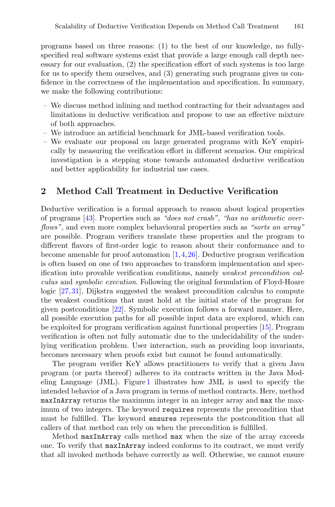programs based on three reasons: (1) to the best of our knowledge, no fullyspecified real software systems exist that provide a large enough call depth necessary for our evaluation, (2) the specification effort of such systems is too large for us to specify them ourselves, and (3) generating such programs gives us confidence in the correctness of the implementation and specification. In summary, we make the following contributions:

- We discuss method inlining and method contracting for their advantages and limitations in deductive verification and propose to use an effective mixture of both approaches.
- We introduce an artificial benchmark for JML-based verification tools.
- We evaluate our proposal on large generated programs with KeY empirically by measuring the verification effort in different scenarios. Our empirical investigation is a stepping stone towards automated deductive verification and better applicability for industrial use cases.

## **2 Method Call Treatment in Deductive Verification**

Deductive verification is a formal approach to reason about logical properties of programs [\[43\]](#page-16-0). Properties such as *"does not crash"*, *"has no arithmetic overflows"*, and even more complex behavioural properties such as *"sorts an array"* are possible. Program verifiers translate these properties and the program to different flavors of first-order logic to reason about their conformance and to become amenable for proof automation  $[1,4,26]$  $[1,4,26]$  $[1,4,26]$  $[1,4,26]$ . Deductive program verification is often based on one of two approaches to transform implementation and specification into provable verification conditions, namely *weakest precondition calculus* and *symbolic execution*. Following the original formulation of Floyd-Hoare logic [\[27](#page-15-5),[31\]](#page-15-3), Dijkstra suggested the weakest precondition calculus to compute the weakest conditions that must hold at the initial state of the program for given postconditions [\[22\]](#page-14-0). Symbolic execution follows a forward manner. Here, all possible execution paths for all possible input data are explored, which can be exploited for program verification against functional properties [\[15](#page-14-4)]. Program verification is often not fully automatic due to the undecidability of the underlying verification problem. User interaction, such as providing loop invariants, becomes necessary when proofs exist but cannot be found automatically.

The program verifier KeY allows practitioners to verify that a given Java program (or parts thereof) adheres to its contracts written in the Java Modeling Language (JML). Figure [1](#page-3-0) illustrates how JML is used to specify the intended behavior of a Java program in terms of method contracts. Here, method maxInArray returns the maximum integer in an integer array and max the maximum of two integers. The keyword requires represents the precondition that must be fulfilled. The keyword ensures represents the postcondition that all callers of that method can rely on when the precondition is fulfilled.

Method maxInArray calls method max when the size of the array exceeds one. To verify that maxInArray indeed conforms to its contract, we must verify that all invoked methods behave correctly as well. Otherwise, we cannot ensure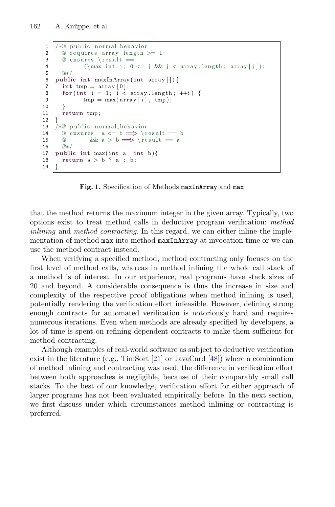```
/*@ public normal_behavior
 \mathbf{1}@ requires array.length \geq 1;
 \overline{2}@ ensures \result =3
 \overline{4}(\text{max int } j; 0 \leq j \&& j \leq array.length; array[j]),5
      @*{}'6
    public int maxInArray(int array[]){
\overline{7}int tmp = \arctan 0 ;
 \mathbf{R}for (int i = 1; i < array length; +i) {
\overline{9}tmp = max(array[i], tmp);10
       ł
11return tmp:
12\mathcal{E}13
    /*@ public normal_behavior
14
      @ ensures a \leq b \implies \text{result} = b\odot&& a > b \Rightarrow \result = a
15
      @*{/}16
    public int max(int a, int b){
17
       return a > b ? a : b;
18
19
```
<span id="page-3-0"></span>**Fig. 1.** Specification of Methods maxInArray and max

that the method returns the maximum integer in the given array. Typically, two options exist to treat method calls in deductive program verification: *method inlining* and *method contracting*. In this regard, we can either inline the implementation of method max into method maxInArray at invocation time or we can use the method contract instead.

When verifying a specified method, method contracting only focuses on the first level of method calls, whereas in method inlining the whole call stack of a method is of interest. In our experience, real programs have stack sizes of 20 and beyond. A considerable consequence is thus the increase in size and complexity of the respective proof obligations when method inlining is used, potentially rendering the verification effort infeasible. However, defining strong enough contracts for automated verification is notoriously hard and requires numerous iterations. Even when methods are already specified by developers, a lot of time is spent on refining dependent contracts to make them sufficient for method contracting.

Although examples of real-world software as subject to deductive verification exist in the literature (e.g., TimSort [\[21](#page-14-5)] or JavaCard [\[48\]](#page-16-1)) where a combination of method inlining and contracting was used, the difference in verification effort between both approaches is negligible, because of their comparably small call stacks. To the best of our knowledge, verification effort for either approach of larger programs has not been evaluated empirically before. In the next section, we first discuss under which circumstances method inlining or contracting is preferred.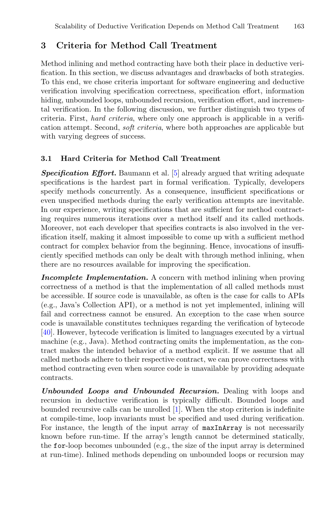# **3 Criteria for Method Call Treatment**

Method inlining and method contracting have both their place in deductive verification. In this section, we discuss advantages and drawbacks of both strategies. To this end, we chose criteria important for software engineering and deductive verification involving specification correctness, specification effort, information hiding, unbounded loops, unbounded recursion, verification effort, and incremental verification. In the following discussion, we further distinguish two types of criteria. First, *hard criteria*, where only one approach is applicable in a verification attempt. Second, *soft criteria*, where both approaches are applicable but with varying degrees of success.

#### **3.1 Hard Criteria for Method Call Treatment**

*Specification Effort.* Baumann et al. [\[5\]](#page-14-3) already argued that writing adequate specifications is the hardest part in formal verification. Typically, developers specify methods concurrently. As a consequence, insufficient specifications or even unspecified methods during the early verification attempts are inevitable. In our experience, writing specifications that are sufficient for method contracting requires numerous iterations over a method itself and its called methods. Moreover, not each developer that specifies contracts is also involved in the verification itself, making it almost impossible to come up with a sufficient method contract for complex behavior from the beginning. Hence, invocations of insufficiently specified methods can only be dealt with through method inlining, when there are no resources available for improving the specification.

*Incomplete Implementation.* A concern with method inlining when proving correctness of a method is that the implementation of all called methods must be accessible. If source code is unavailable, as often is the case for calls to APIs (e.g., Java's Collection API), or a method is not yet implemented, inlining will fail and correctness cannot be ensured. An exception to the case when source code is unavailable constitutes techniques regarding the verification of bytecode [\[40](#page-15-6)]. However, bytecode verification is limited to languages executed by a virtual machine (e.g., Java). Method contracting omits the implementation, as the contract makes the intended behavior of a method explicit. If we assume that all called methods adhere to their respective contract, we can prove correctness with method contracting even when source code is unavailable by providing adequate contracts.

*Unbounded Loops and Unbounded Recursion.* Dealing with loops and recursion in deductive verification is typically difficult. Bounded loops and bounded recursive calls can be unrolled [\[1](#page-13-0)]. When the stop criterion is indefinite at compile-time, loop invariants must be specified and used during verification. For instance, the length of the input array of maxInArray is not necessarily known before run-time. If the array's length cannot be determined statically, the for-loop becomes unbounded (e.g., the size of the input array is determined at run-time). Inlined methods depending on unbounded loops or recursion may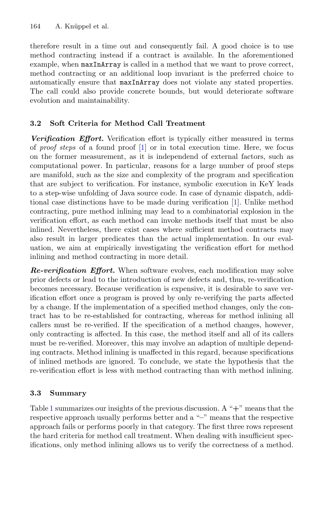therefore result in a time out and consequently fail. A good choice is to use method contracting instead if a contract is available. In the aforementioned example, when maxInArray is called in a method that we want to prove correct, method contracting or an additional loop invariant is the preferred choice to automatically ensure that maxInArray does not violate any stated properties. The call could also provide concrete bounds, but would deteriorate software evolution and maintainability.

## **3.2 Soft Criteria for Method Call Treatment**

*Verification Effort.* Verification effort is typically either measured in terms of *proof steps* of a found proof [\[1\]](#page-13-0) or in total execution time. Here, we focus on the former measurement, as it is independend of external factors, such as computational power. In particular, reasons for a large number of proof steps are manifold, such as the size and complexity of the program and specification that are subject to verification. For instance, symbolic execution in KeY leads to a step-wise unfolding of Java source code. In case of dynamic dispatch, additional case distinctions have to be made during verification [\[1](#page-13-0)]. Unlike method contracting, pure method inlining may lead to a combinatorial explosion in the verification effort, as each method can invoke methods itself that must be also inlined. Nevertheless, there exist cases where sufficient method contracts may also result in larger predicates than the actual implementation. In our evaluation, we aim at empirically investigating the verification effort for method inlining and method contracting in more detail.

*Re-verification Effort.* When software evolves, each modification may solve prior defects or lead to the introduction of new defects and, thus, re-verification becomes necessary. Because verification is expensive, it is desirable to save verification effort once a program is proved by only re-verifying the parts affected by a change. If the implementation of a specified method changes, only the contract has to be re-established for contracting, whereas for method inlining all callers must be re-verified. If the specification of a method changes, however, only contracting is affected. In this case, the method itself and all of its callers must be re-verified. Moreover, this may involve an adaption of multiple depending contracts. Method inlining is unaffected in this regard, because specifications of inlined methods are ignored. To conclude, we state the hypothesis that the re-verification effort is less with method contracting than with method inlining.

## **3.3 Summary**

Table [1](#page-6-0) summarizes our insights of the previous discussion. A "**+**" means that the respective approach usually performs better and a "**–**" means that the respective approach fails or performs poorly in that category. The first three rows represent the hard criteria for method call treatment. When dealing with insufficient specifications, only method inlining allows us to verify the correctness of a method.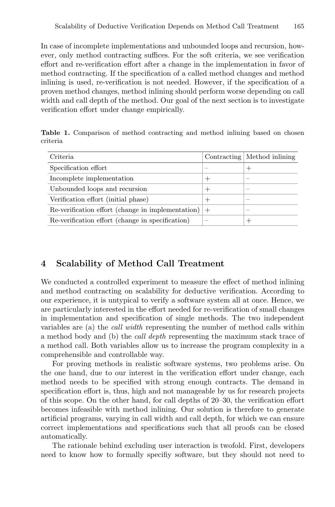In case of incomplete implementations and unbounded loops and recursion, however, only method contracting suffices. For the soft criteria, we see verification effort and re-verification effort after a change in the implementation in favor of method contracting. If the specification of a called method changes and method inlining is used, re-verification is not needed. However, if the specification of a proven method changes, method inlining should perform worse depending on call width and call depth of the method. Our goal of the next section is to investigate verification effort under change empirically.

**Table 1.** Comparison of method contracting and method inlining based on chosen criteria

<span id="page-6-0"></span>

| Criteria                                          |        | Contracting   Method inlining |
|---------------------------------------------------|--------|-------------------------------|
| Specification effort                              |        |                               |
| Incomplete implementation                         |        |                               |
| Unbounded loops and recursion                     | $\!$   |                               |
| Verification effort (initial phase)               |        |                               |
| Re-verification effort (change in implementation) | $^{+}$ |                               |
| Re-verification effort (change in specification)  |        |                               |

## **4 Scalability of Method Call Treatment**

We conducted a controlled experiment to measure the effect of method inlining and method contracting on scalability for deductive verification. According to our experience, it is untypical to verify a software system all at once. Hence, we are particularly interested in the effort needed for re-verification of small changes in implementation and specification of single methods. The two independent variables are (a) the *call width* representing the number of method calls within a method body and (b) the *call depth* representing the maximum stack trace of a method call. Both variables allow us to increase the program complexity in a comprehensible and controllable way.

For proving methods in realistic software systems, two problems arise. On the one hand, due to our interest in the verification effort under change, each method needs to be specified with strong enough contracts. The demand in specification effort is, thus, high and not manageable by us for research projects of this scope. On the other hand, for call depths of 20–30, the verification effort becomes infeasible with method inlining. Our solution is therefore to generate artificial programs, varying in call width and call depth, for which we can ensure correct implementations and specifications such that all proofs can be closed automatically.

The rationale behind excluding user interaction is twofold. First, developers need to know how to formally specifiy software, but they should not need to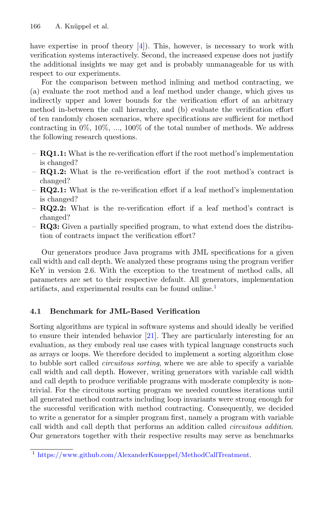have expertise in proof theory  $[4]$  $[4]$ ). This, however, is necessary to work with verification systems interactively. Second, the increased expense does not justify the additional insights we may get and is probably unmanageable for us with respect to our experiments.

For the comparison between method inlining and method contracting, we (a) evaluate the root method and a leaf method under change, which gives us indirectly upper and lower bounds for the verification effort of an arbitrary method in-between the call hierarchy, and (b) evaluate the verification effort of ten randomly chosen scenarios, where specifications are sufficient for method contracting in  $0\%$ ,  $10\%$ , ...,  $100\%$  of the total number of methods. We address the following research questions.

- **RQ1.1:** What is the re-verification effort if the root method's implementation is changed?
- **RQ1.2:** What is the re-verification effort if the root method's contract is changed?
- **RQ2.1:** What is the re-verification effort if a leaf method's implementation is changed?
- **RQ2.2:** What is the re-verification effort if a leaf method's contract is changed?
- **RQ3:** Given a partially specified program, to what extend does the distribution of contracts impact the verification effort?

Our generators produce Java programs with JML specifications for a given call width and call depth. We analyzed these programs using the program verifier KeY in version 2.6. With the exception to the treatment of method calls, all parameters are set to their respective default. All generators, implementation artifacts, and experimental results can be found online.[1](#page-7-0)

#### **4.1 Benchmark for JML-Based Verification**

Sorting algorithms are typical in software systems and should ideally be verified to ensure their intended behavior  $[21]$ . They are particularly interesting for an evaluation, as they embody real use cases with typical language constructs such as arrays or loops. We therefore decided to implement a sorting algorithm close to bubble sort called *circuitous sorting*, where we are able to specify a variable call width and call depth. However, writing generators with variable call width and call depth to produce verifiable programs with moderate complexity is nontrivial. For the circuitous sorting program we needed countless iterations until all generated method contracts including loop invariants were strong enough for the successful verification with method contracting. Consequently, we decided to write a generator for a simpler program first, namely a program with variable call width and call depth that performs an addition called *circuitous addition*. Our generators together with their respective results may serve as benchmarks

<span id="page-7-0"></span><sup>1</sup> [https://www.github.com/AlexanderKnueppel/MethodCallTreatment.](https://www.github.com/AlexanderKnueppel/MethodCallTreatment)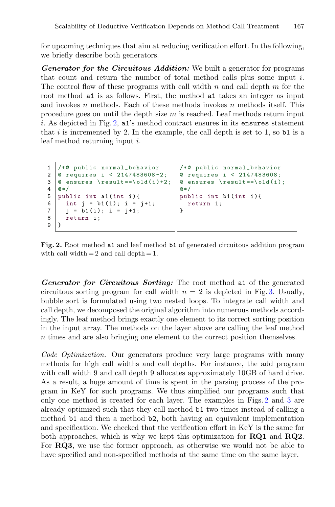for upcoming techniques that aim at reducing verification effort. In the following, we briefly describe both generators.

*Generator for the Circuitous Addition:* We built a generator for programs that count and return the number of total method calls plus some input *i*. The control flow of these programs with call width *n* and call depth *m* for the root method a1 is as follows. First, the method a1 takes an integer as input and invokes *n* methods. Each of these methods invokes *n* methods itself. This procedure goes on until the depth size *m* is reached. Leaf methods return input *i*. As depicted in Fig. [2,](#page-8-0) a1's method contract ensures in its ensures statement that  $i$  is incremented by 2. In the example, the call depth is set to 1, so  $b1$  is a leaf method returning input *i*.

```
\mathbf{1}/*@ public normal_behavior
                                           /*@ public normal_behavior
   @ requires i < 2147483608-2;
                                           @ requires i < 2147483608;
\boldsymbol{2}\circ ensures \result==\old(i)+2;
                                           @ ensures \result==\old(i);
3
\overline{4}@* /0*/5
   public int a1(int i){
                                           public int b1(int i){
6
      int j = b1(i); i = j+1;return i;
                                           \mathcal{F}\overline{7}j = b1(i); i = j+1;8
      return i;
   \boldsymbol{\}}9
```
<span id="page-8-0"></span>**Fig. 2.** Root method a1 and leaf method b1 of generated circuitous addition program with call width  $= 2$  and call depth  $= 1$ .

*Generator for Circuitous Sorting:* The root method a1 of the generated circuitous sorting program for call width  $n = 2$  is depicted in Fig. [3.](#page-9-0) Usually, bubble sort is formulated using two nested loops. To integrate call width and call depth, we decomposed the original algorithm into numerous methods accordingly. The leaf method brings exactly one element to its correct sorting position in the input array. The methods on the layer above are calling the leaf method *n* times and are also bringing one element to the correct position themselves.

*Code Optimization.* Our generators produce very large programs with many methods for high call widths and call depths. For instance, the add program with call width 9 and call depth 9 allocates approximately 10GB of hard drive. As a result, a huge amount of time is spent in the parsing process of the program in KeY for such programs. We thus simplified our programs such that only one method is created for each layer. The examples in Figs. [2](#page-8-0) and [3](#page-9-0) are already optimized such that they call method b1 two times instead of calling a method b1 and then a method b2, both having an equivalent implementation and specification. We checked that the verification effort in KeY is the same for both approaches, which is why we kept this optimization for **RQ1** and **RQ2**. For **RQ3**, we use the former approach, as otherwise we would not be able to have specified and non-specified methods at the same time on the same layer.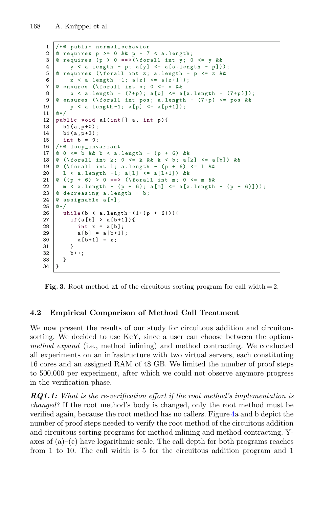```
/*@ public normal_behavior
 \mathbf{1}\overline{2}@ requires p \ge 0 & p + 7 < a. length;
    | © requires (p > 0 ==> (\forall int y; 0 <= y & &
 3
           y \le a. length - p; a[y] \le a[a. length - p]));
 \overline{4}\circ requires (\forall int z; a.length - p <= z &&
 \, 5 \,z \le a.length -1; a[z] \le a[z+1]);\,6\,\circ ensures (\forall int o; 0 <= 0 & &
 \overline{7}o \le a.length - (7+p); a[o] \le a[a.length - (7+p)]);8
    @ ensures (\forall int pos; a.length - (7+p) <= pos &&
 \boldsymbol{9}10
           p \le a.length-1; a[p] \le a[p+1]);11
    \sqrt{e^*}public void al(int[] a, int p){
12<sup>°</sup>b1(a, p+0);13
        b1(a, p+3);14
       int b = 0;
15
16
    /*0 loop_invariant
    \begin{bmatrix} 0 & 0 & \leq b & 0 & 0 \\ 0 & 0 & \leq b & 0 & 0 \\ 0 & 0 & 0 & 0 & 0 \\ 0 & 0 & 0 & 0 & 0 \\ 0 & 0 & 0 & 0 & 0 \\ 0 & 0 & 0 & 0 & 0 \\ 0 & 0 & 0 & 0 & 0 \\ 0 & 0 & 0 & 0 & 0 \\ 0 & 0 & 0 & 0 & 0 \\ 0 & 0 & 0 & 0 & 0 \\ 0 & 0 & 0 & 0 & 0 \\ 0 & 0 & 0 & 0 & 0 & 0 \\ 0 & 0 & 0 & 0 & 0 & 0 \\ 0 & 0 & 0 &17
    @ (\forall int k; 0 <= k & k < b; a[k] <= a[b]) & &
18
    \& (\forall int 1; a.length - (p + 6) <= 1 & &
19
      1 < a.length -1; a[1] < a[1+1] & &
20
21(9)(p + 6) > 0 \implies (\text{for all int } m; 0 \le m \&\)m < a.length - (p + 6); a[m] <= a[a.length - (p + 6)]));
2223
     @ decreasing a.length - b;24
     @ assignable a[*];
25
     @*26
        while (b \le a.length - (1 + (p + 6)))if (a [b] > a [b+1]){
27
              int x = a[b];
28
29
              a [b] = a [b+1];30
              a [b+1] = x;\mathcal{P}31
32
           b++;\mathbf{r}33
34
     \mathcal{F}
```
<span id="page-9-0"></span>**Fig. 3.** Root method at of the circuitous sorting program for call width  $= 2$ .

#### **4.2 Empirical Comparison of Method Call Treatment**

We now present the results of our study for circuitous addition and circuitous sorting. We decided to use KeY, since a user can choose between the options *method expand* (i.e., method inlining) and method contracting. We conducted all experiments on an infrastructure with two virtual servers, each constituting 16 cores and an assigned RAM of 48 GB. We limited the number of proof steps to 500,000 per experiment, after which we could not observe anymore progress in the verification phase.

*RQ1.1: What is the re-verification effort if the root method's implementation is changed?* If the root method's body is changed, only the root method must be verified again, because the root method has no callers. Figure [4a](#page-10-0) and b depict the number of proof steps needed to verify the root method of the circuitous addition and circuitous sorting programs for method inlining and method contracting. Yaxes of  $(a)$ – $(c)$  have logarithmic scale. The call depth for both programs reaches from 1 to 10. The call width is 5 for the circuitous addition program and 1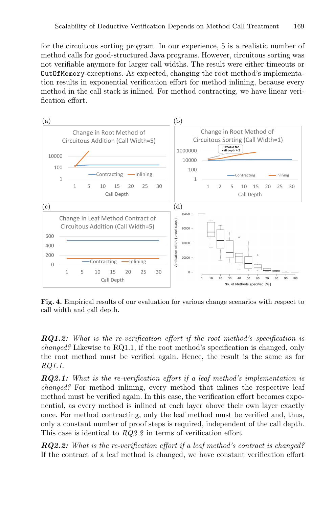for the circuitous sorting program. In our experience, 5 is a realistic number of method calls for good-structured Java programs. However, circuitous sorting was not verifiable anymore for larger call widths. The result were either timeouts or OutOfMemory-exceptions. As expected, changing the root method's implementation results in exponential verification effort for method inlining, because every method in the call stack is inlined. For method contracting, we have linear verification effort.



<span id="page-10-0"></span>**Fig. 4.** Empirical results of our evaluation for various change scenarios with respect to call width and call depth.

*RQ1.2: What is the re-verification effort if the root method's specification is changed?* Likewise to RQ1.1, if the root method's specification is changed, only the root method must be verified again. Hence, the result is the same as for *RQ1.1*.

*RQ2.1: What is the re-verification effort if a leaf method's implementation is changed?* For method inlining, every method that inlines the respective leaf method must be verified again. In this case, the verification effort becomes exponential, as every method is inlined at each layer above their own layer exactly once. For method contracting, only the leaf method must be verified and, thus, only a constant number of proof steps is required, independent of the call depth. This case is identical to *RQ2.2* in terms of verification effort.

*RQ2.2: What is the re-verification effort if a leaf method's contract is changed?* If the contract of a leaf method is changed, we have constant verification effort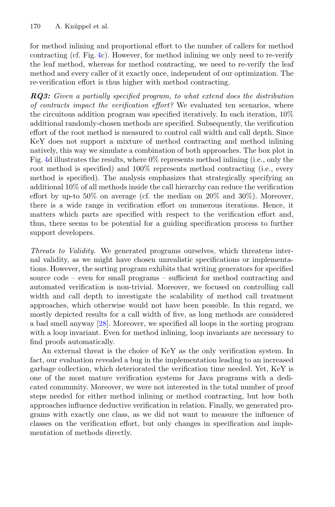for method inlining and proportional effort to the number of callers for method contracting (cf. Fig. [4c](#page-10-0)). However, for method inlining we only need to re-verify the leaf method, whereas for method contracting, we need to re-verify the leaf method and every caller of it exactly once, independent of our optimization. The re-verification effort is thus higher with method contracting.

*RQ3: Given a partially specified program, to what extend does the distribution of contracts impact the verification effort?* We evaluated ten scenarios, where the circuitous addition program was specified iteratively. In each iteration, 10% additional randomly-chosen methods are specified. Subsequently, the verification effort of the root method is measured to control call width and call depth. Since KeY does not support a mixture of method contracting and method inlining natively, this way we simulate a combination of both approaches. The box plot in Fig. [4d](#page-10-0) illustrates the results, where  $0\%$  represents method inlining (i.e., only the root method is specified) and 100% represents method contracting (i.e., every method is specified). The analysis emphasizes that strategically specifying an additional 10% of all methods inside the call hierarchy can reduce the verification effort by up-to  $50\%$  on average (cf. the median on  $20\%$  and  $30\%$ ). Moreover, there is a wide range in verification effort on numerous iterations. Hence, it matters which parts are specified with respect to the verification effort and, thus, there seems to be potential for a guiding specification process to further support developers.

*Threats to Validity.* We generated programs ourselves, which threatens internal validity, as we might have chosen unrealistic specifications or implementations. However, the sorting program exhibits that writing generators for specified source code – even for small programs – sufficient for method contracting and automated verification is non-trivial. Moreover, we focused on controlling call width and call depth to investigate the scalability of method call treatment approaches, which otherwise would not have been possible. In this regard, we mostly depicted results for a call width of five, as long methods are considered a bad smell anyway [\[28\]](#page-15-7). Moreover, we specified all loops in the sorting program with a loop invariant. Even for method inlining, loop invariants are necessary to find proofs automatically.

An external threat is the choice of KeY as the only verification system. In fact, our evaluation revealed a bug in the implementation leading to an increased garbage collection, which deteriorated the verification time needed. Yet, KeY is one of the most mature verification systems for Java programs with a dedicated community. Moreover, we were not interested in the total number of proof steps needed for either method inlining or method contracting, but how both approaches influence deductive verification in relation. Finally, we generated programs with exactly one class, as we did not want to measure the influence of classes on the verification effort, but only changes in specification and implementation of methods directly.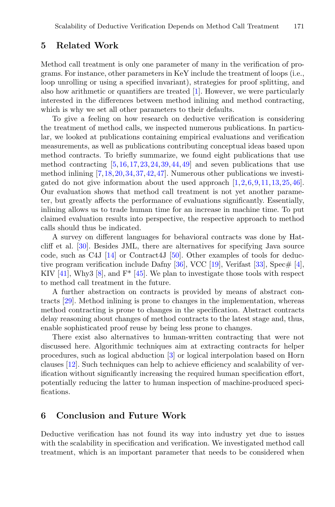#### **5 Related Work**

Method call treatment is only one parameter of many in the verification of programs. For instance, other parameters in KeY include the treatment of loops (i.e., loop unrolling or using a specified invariant), strategies for proof splitting, and also how arithmetic or quantifiers are treated [\[1](#page-13-0)]. However, we were particularly interested in the differences between method inlining and method contracting, which is why we set all other parameters to their defaults.

To give a feeling on how research on deductive verification is considering the treatment of method calls, we inspected numerous publications. In particular, we looked at publications containing empirical evaluations and verification measurements, as well as publications contributing conceptual ideas based upon method contracts. To briefly summarize, we found eight publications that use method contracting  $[5,16,17,23,24,39,44,49]$  $[5,16,17,23,24,39,44,49]$  $[5,16,17,23,24,39,44,49]$  $[5,16,17,23,24,39,44,49]$  $[5,16,17,23,24,39,44,49]$  $[5,16,17,23,24,39,44,49]$  $[5,16,17,23,24,39,44,49]$  $[5,16,17,23,24,39,44,49]$  $[5,16,17,23,24,39,44,49]$  $[5,16,17,23,24,39,44,49]$  and seven publications that use method inlining [\[7](#page-14-7)[,18](#page-14-8),[20,](#page-14-9)[34,](#page-15-11)[37](#page-15-12)[,42,](#page-16-4)[47\]](#page-16-5). Numerous other publications we investigated do not give information about the used approach [\[1](#page-13-0)[,2](#page-13-2)[,6](#page-14-10),[9,](#page-14-11)[11](#page-14-12)[,13](#page-14-13)[,25](#page-15-13),[46\]](#page-16-6). Our evaluation shows that method call treatment is not yet another parameter, but greatly affects the performance of evaluations significantly. Essentially, inlining allows us to trade human time for an increase in machine time. To put claimed evaluation results into perspective, the respective approach to method calls should thus be indicated.

A survey on different languages for behavioral contracts was done by Hatcliff et al. [\[30](#page-15-14)]. Besides JML, there are alternatives for specifying Java source code, such as C4J  $[14]$  $[14]$  or Contract4J  $[50]$  $[50]$ . Other examples of tools for deductive program verification include Dafny  $[36]$ , VCC  $[19]$  $[19]$ , Verifast  $[33]$ , Spec#  $[4]$ , KIV [\[41](#page-16-8)], Why3 [\[8](#page-14-16)], and F\* [\[45](#page-16-9)]. We plan to investigate those tools with respect to method call treatment in the future.

A further abstraction on contracts is provided by means of abstract contracts [\[29\]](#page-15-17). Method inlining is prone to changes in the implementation, whereas method contracting is prone to changes in the specification. Abstract contracts delay reasoning about changes of method contracts to the latest stage and, thus, enable sophisticated proof reuse by being less prone to changes.

There exist also alternatives to human-written contracting that were not discussed here. Algorithmic techniques aim at extracting contracts for helper procedures, such as logical abduction [\[3](#page-13-3)] or logical interpolation based on Horn clauses [\[12](#page-14-17)]. Such techniques can help to achieve efficiency and scalability of verification without significantly increasing the required human specification effort, potentially reducing the latter to human inspection of machine-produced specifications.

## **6 Conclusion and Future Work**

Deductive verification has not found its way into industry yet due to issues with the scalability in specification and verification. We investigated method call treatment, which is an important parameter that needs to be considered when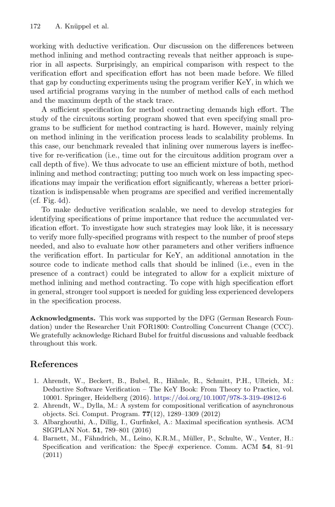working with deductive verification. Our discussion on the differences between method inlining and method contracting reveals that neither approach is superior in all aspects. Surprisingly, an empirical comparison with respect to the verification effort and specification effort has not been made before. We filled that gap by conducting experiments using the program verifier KeY, in which we used artificial programs varying in the number of method calls of each method and the maximum depth of the stack trace.

A sufficient specification for method contracting demands high effort. The study of the circuitous sorting program showed that even specifying small programs to be sufficient for method contracting is hard. However, mainly relying on method inlining in the verification process leads to scalability problems. In this case, our benchmark revealed that inlining over numerous layers is ineffective for re-verification (i.e., time out for the circuitous addition program over a call depth of five). We thus advocate to use an efficient mixture of both, method inlining and method contracting; putting too much work on less impacting specifications may impair the verification effort significantly, whereas a better prioritization is indispensable when programs are specified and verified incrementally  $(cf. Fig. 4d).$  $(cf. Fig. 4d).$  $(cf. Fig. 4d).$ 

To make deductive verification scalable, we need to develop strategies for identifying specifications of prime importance that reduce the accumulated verification effort. To investigate how such strategies may look like, it is necessary to verify more fully-specified programs with respect to the number of proof steps needed, and also to evaluate how other parameters and other verifiers influence the verification effort. In particular for KeY, an additional annotation in the source code to indicate method calls that should be inlined (i.e., even in the presence of a contract) could be integrated to allow for a explicit mixture of method inlining and method contracting. To cope with high specification effort in general, stronger tool support is needed for guiding less experienced developers in the specification process.

**Acknowledgments.** This work was supported by the DFG (German Research Foundation) under the Researcher Unit FOR1800: Controlling Concurrent Change (CCC). We gratefully acknowledge Richard Bubel for fruitful discussions and valuable feedback throughout this work.

# **References**

- <span id="page-13-0"></span>1. Ahrendt, W., Beckert, B., Bubel, R., Hähnle, R., Schmitt, P.H., Ulbrich, M.: Deductive Software Verification – The KeY Book: From Theory to Practice, vol. 10001. Springer, Heidelberg (2016). <https://doi.org/10.1007/978-3-319-49812-6>
- <span id="page-13-2"></span>2. Ahrendt, W., Dylla, M.: A system for compositional verification of asynchronous objects. Sci. Comput. Program. **77**(12), 1289–1309 (2012)
- <span id="page-13-3"></span>3. Albarghouthi, A., Dillig, I., Gurfinkel, A.: Maximal specification synthesis. ACM SIGPLAN Not. **51**, 789–801 (2016)
- <span id="page-13-1"></span>4. Barnett, M., Fähndrich, M., Leino, K.R.M., Müller, P., Schulte, W., Venter, H.: Specification and verification: the Spec# experience. Comm. ACM **54**, 81–91 (2011)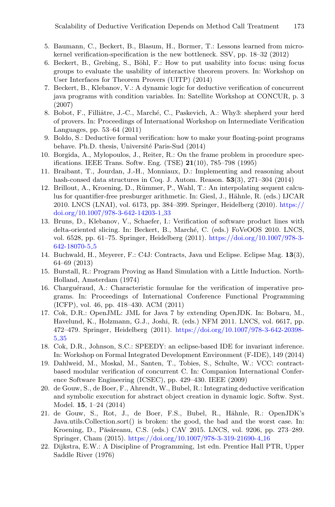- <span id="page-14-3"></span>5. Baumann, C., Beckert, B., Blasum, H., Bormer, T.: Lessons learned from microkernel verification-specification is the new bottleneck. SSV, pp. 18–32 (2012)
- <span id="page-14-10"></span>6. Beckert, B., Grebing, S., Böhl, F.: How to put usability into focus: using focus groups to evaluate the usability of interactive theorem provers. In: Workshop on User Interfaces for Theorem Provers (UITP) (2014)
- <span id="page-14-7"></span>7. Beckert, B., Klebanov, V.: A dynamic logic for deductive verification of concurrent java programs with condition variables. In: Satellite Workshop at CONCUR, p. 3 (2007)
- <span id="page-14-16"></span>8. Bobot, F., Filliâtre, J.-C., Marché, C., Paskevich, A.: Why3: shepherd your herd of provers. In: Proceedings of International Workshop on Intermediate Verification Languages, pp. 53–64 (2011)
- <span id="page-14-11"></span>9. Boldo, S.: Deductive formal verification: how to make your floating-point programs behave. Ph.D. thesis, Université Paris-Sud (2014)
- <span id="page-14-2"></span>10. Borgida, A., Mylopoulos, J., Reiter, R.: On the frame problem in procedure specifications. IEEE Trans. Softw. Eng. (TSE) **21**(10), 785–798 (1995)
- <span id="page-14-12"></span>11. Braibant, T., Jourdan, J.-H., Monniaux, D.: Implementing and reasoning about hash-consed data structures in Coq. J. Autom. Reason. **53**(3), 271–304 (2014)
- <span id="page-14-17"></span>12. Brillout, A., Kroening, D., Rümmer, P., Wahl, T.: An interpolating sequent calculus for quantifier-free presburger arithmetic. In: Giesl, J., Hähnle, R. (eds.) IJCAR 2010. LNCS (LNAI), vol. 6173, pp. 384–399. Springer, Heidelberg (2010). [https://](https://doi.org/10.1007/978-3-642-14203-1_33) [doi.org/10.1007/978-3-642-14203-1](https://doi.org/10.1007/978-3-642-14203-1_33) 33
- <span id="page-14-13"></span>13. Bruns, D., Klebanov, V., Schaefer, I.: Verification of software product lines with delta-oriented slicing. In: Beckert, B., Marché, C. (eds.) FoVeOOS 2010. LNCS, vol. 6528, pp. 61–75. Springer, Heidelberg (2011). [https://doi.org/10.1007/978-3-](https://doi.org/10.1007/978-3-642-18070-5_5) [642-18070-5](https://doi.org/10.1007/978-3-642-18070-5_5)<sub>-5</sub>
- <span id="page-14-14"></span>14. Buchwald, H., Meyerer, F.: C4J: Contracts, Java und Eclipse. Eclipse Mag. **13**(3), 64–69 (2013)
- <span id="page-14-4"></span>15. Burstall, R.: Program Proving as Hand Simulation with a Little Induction. North-Holland, Amsterdam (1974)
- <span id="page-14-6"></span>16. Charguéraud, A.: Characteristic formulae for the verification of imperative programs. In: Proceedings of International Conference Functional Programming (ICFP), vol. 46, pp. 418–430. ACM (2011)
- <span id="page-14-1"></span>17. Cok, D.R.: OpenJML: JML for Java 7 by extending OpenJDK. In: Bobaru, M., Havelund, K., Holzmann, G.J., Joshi, R. (eds.) NFM 2011. LNCS, vol. 6617, pp. 472–479. Springer, Heidelberg (2011). [https://doi.org/10.1007/978-3-642-20398-](https://doi.org/10.1007/978-3-642-20398-5_35) 5 [35](https://doi.org/10.1007/978-3-642-20398-5_35)
- <span id="page-14-8"></span>18. Cok, D.R., Johnson, S.C.: SPEEDY: an eclipse-based IDE for invariant inference. In: Workshop on Formal Integrated Development Environment (F-IDE), 149 (2014)
- <span id="page-14-15"></span>19. Dahlweid, M., Moskal, M., Santen, T., Tobies, S., Schulte, W.: VCC: contractbased modular verification of concurrent C. In: Companion International Conference Software Engineering (ICSEC), pp. 429–430. IEEE (2009)
- <span id="page-14-9"></span>20. de Gouw, S., de Boer, F., Ahrendt, W., Bubel, R.: Integrating deductive verification and symbolic execution for abstract object creation in dynamic logic. Softw. Syst. Model. **15**, 1–24 (2014)
- <span id="page-14-5"></span>21. de Gouw, S., Rot, J., de Boer, F.S., Bubel, R., Hähnle, R.: OpenJDK's Java.utils.Collection.sort() is broken: the good, the bad and the worst case. In: Kroening, D., Păsăreanu, C.S. (eds.) CAV 2015. LNCS, vol. 9206, pp. 273-289. Springer, Cham (2015). [https://doi.org/10.1007/978-3-319-21690-4](https://doi.org/10.1007/978-3-319-21690-4_16) 16
- <span id="page-14-0"></span>22. Dijkstra, E.W.: A Discipline of Programming, 1st edn. Prentice Hall PTR, Upper Saddle River (1976)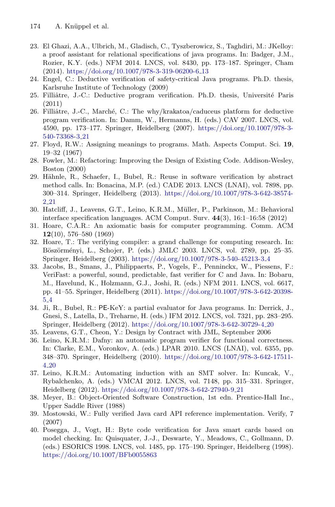- <span id="page-15-8"></span>23. El Ghazi, A.A., Ulbrich, M., Gladisch, C., Tyszberowicz, S., Taghdiri, M.: JKelloy: a proof assistant for relational specifications of java programs. In: Badger, J.M., Rozier, K.Y. (eds.) NFM 2014. LNCS, vol. 8430, pp. 173–187. Springer, Cham (2014). [https://doi.org/10.1007/978-3-319-06200-6](https://doi.org/10.1007/978-3-319-06200-6_13) 13
- <span id="page-15-9"></span>24. Engel, C.: Deductive verification of safety-critical Java programs. Ph.D. thesis, Karlsruhe Institute of Technology (2009)
- <span id="page-15-13"></span>25. Filliâtre, J.-C.: Deductive program verification. Ph.D. thesis, Université Paris (2011)
- <span id="page-15-1"></span>26. Filliâtre, J.-C., Marché, C.: The why/krakatoa/caduceus platform for deductive program verification. In: Damm, W., Hermanns, H. (eds.) CAV 2007. LNCS, vol. 4590, pp. 173–177. Springer, Heidelberg (2007). [https://doi.org/10.1007/978-3-](https://doi.org/10.1007/978-3-540-73368-3_21) [540-73368-3](https://doi.org/10.1007/978-3-540-73368-3_21) 21
- <span id="page-15-5"></span>27. Floyd, R.W.: Assigning meanings to programs. Math. Aspects Comput. Sci. **19**, 19–32 (1967)
- <span id="page-15-7"></span>28. Fowler, M.: Refactoring: Improving the Design of Existing Code. Addison-Wesley, Boston (2000)
- <span id="page-15-17"></span>29. Hähnle, R., Schaefer, I., Bubel, R.: Reuse in software verification by abstract method calls. In: Bonacina, M.P. (ed.) CADE 2013. LNCS (LNAI), vol. 7898, pp. 300–314. Springer, Heidelberg (2013). [https://doi.org/10.1007/978-3-642-38574-](https://doi.org/10.1007/978-3-642-38574-2_21) 2 [21](https://doi.org/10.1007/978-3-642-38574-2_21)
- <span id="page-15-14"></span>30. Hatcliff, J., Leavens, G.T., Leino, K.R.M., M¨uller, P., Parkinson, M.: Behavioral interface specification languages. ACM Comput. Surv. **44**(3), 16:1–16:58 (2012)
- <span id="page-15-3"></span>31. Hoare, C.A.R.: An axiomatic basis for computer programming. Comm. ACM **12**(10), 576–580 (1969)
- <span id="page-15-0"></span>32. Hoare, T.: The verifying compiler: a grand challenge for computing research. In: Böszörményi, L., Schojer, P. (eds.) JMLC 2003. LNCS, vol. 2789, pp. 25–35. Springer, Heidelberg (2003). [https://doi.org/10.1007/978-3-540-45213-3](https://doi.org/10.1007/978-3-540-45213-3_4) 4
- <span id="page-15-16"></span>33. Jacobs, B., Smans, J., Philippaerts, P., Vogels, F., Penninckx, W., Piessens, F.: VeriFast: a powerful, sound, predictable, fast verifier for C and Java. In: Bobaru, M., Havelund, K., Holzmann, G.J., Joshi, R. (eds.) NFM 2011. LNCS, vol. 6617, pp. 41–55. Springer, Heidelberg (2011). [https://doi.org/10.1007/978-3-642-20398-](https://doi.org/10.1007/978-3-642-20398-5_4) [5](https://doi.org/10.1007/978-3-642-20398-5_4) 4
- <span id="page-15-11"></span>34. Ji, R., Bubel, R.: PE-KeY: a partial evaluator for Java programs. In: Derrick, J., Gnesi, S., Latella, D., Treharne, H. (eds.) IFM 2012. LNCS, vol. 7321, pp. 283–295. Springer, Heidelberg (2012). [https://doi.org/10.1007/978-3-642-30729-4](https://doi.org/10.1007/978-3-642-30729-4_20) 20
- <span id="page-15-4"></span>35. Leavens, G.T., Cheon, Y.: Design by Contract with JML, September 2006
- <span id="page-15-15"></span>36. Leino, K.R.M.: Dafny: an automatic program verifier for functional correctness. In: Clarke, E.M., Voronkov, A. (eds.) LPAR 2010. LNCS (LNAI), vol. 6355, pp. 348–370. Springer, Heidelberg (2010). [https://doi.org/10.1007/978-3-642-17511-](https://doi.org/10.1007/978-3-642-17511-4_20) 4 [20](https://doi.org/10.1007/978-3-642-17511-4_20)
- <span id="page-15-12"></span>37. Leino, K.R.M.: Automating induction with an SMT solver. In: Kuncak, V., Rybalchenko, A. (eds.) VMCAI 2012. LNCS, vol. 7148, pp. 315–331. Springer, Heidelberg (2012). [https://doi.org/10.1007/978-3-642-27940-9](https://doi.org/10.1007/978-3-642-27940-9_21) 21
- <span id="page-15-2"></span>38. Meyer, B.: Object-Oriented Software Construction, 1st edn. Prentice-Hall Inc., Upper Saddle River (1988)
- <span id="page-15-10"></span>39. Mostowski, W.: Fully verified Java card API reference implementation. Verify, 7 (2007)
- <span id="page-15-6"></span>40. Posegga, J., Vogt, H.: Byte code verification for Java smart cards based on model checking. In: Quisquater, J.-J., Deswarte, Y., Meadows, C., Gollmann, D. (eds.) ESORICS 1998. LNCS, vol. 1485, pp. 175–190. Springer, Heidelberg (1998). <https://doi.org/10.1007/BFb0055863>